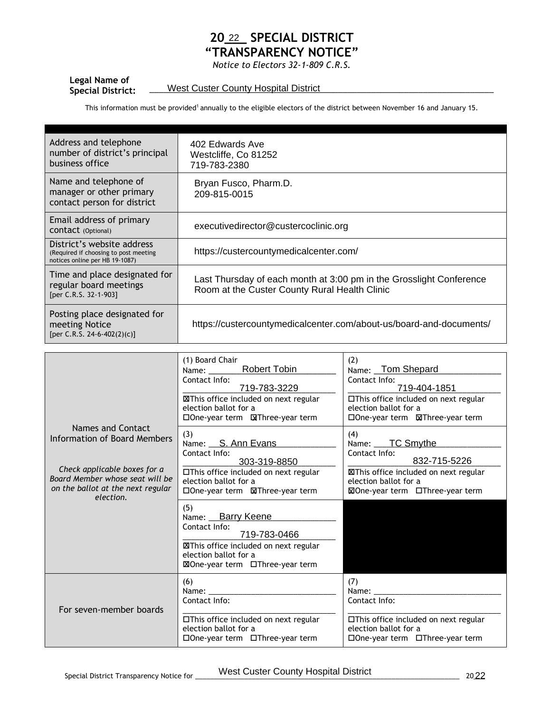## **20\_\_\_ SPECIAL DISTRICT "TRANSPARENCY NOTICE" Special District:** \_\_\_\_\_\_\_\_\_\_\_\_\_\_\_\_\_\_\_\_\_\_\_\_\_\_\_\_\_\_\_\_\_\_\_\_\_\_\_\_\_\_\_\_\_\_\_\_\_\_\_\_\_\_\_\_\_\_\_\_\_\_\_\_\_\_\_\_\_\_\_\_\_ West Custer County Hospital District <sup>22</sup>

*Notice to Electors 32-1-809 C.R.S.*

## **Legal Name of**

This information must be provided<sup>1</sup> annually to the eligible electors of the district between November 16 and January 15.

| Address and telephone<br>number of district's principal<br>business office                            | 402 Edwards Ave<br>Westcliffe, Co 81252<br>719-783-2380                                                              |
|-------------------------------------------------------------------------------------------------------|----------------------------------------------------------------------------------------------------------------------|
| Name and telephone of<br>manager or other primary<br>contact person for district                      | Bryan Fusco, Pharm.D.<br>209-815-0015                                                                                |
| Email address of primary<br>CONTACT (Optional)                                                        | executivedirector@custercoclinic.org                                                                                 |
| District's website address<br>(Required if choosing to post meeting<br>notices online per HB 19-1087) | https://custercountymedicalcenter.com/                                                                               |
| Time and place designated for<br>regular board meetings<br>[per C.R.S. 32-1-903]                      | Last Thursday of each month at 3:00 pm in the Grosslight Conference<br>Room at the Custer County Rural Health Clinic |
| Posting place designated for<br>meeting Notice<br>[per C.R.S. 24-6-402(2)(c)]                         | https://custercountymedicalcenter.com/about-us/board-and-documents/                                                  |

|                                                                                                                   | (1) Board Chair<br><b>Robert Tobin</b><br>Name:<br>Contact Info:<br>719-783-3229<br>XThis office included on next regular<br>election ballot for a<br>□ One-year term ■ NaThree-year term | (2)<br>Name: Tom Shepard<br>Contact Info:<br>719-404-1851<br>□This office included on next regular<br>election ballot for a |
|-------------------------------------------------------------------------------------------------------------------|-------------------------------------------------------------------------------------------------------------------------------------------------------------------------------------------|-----------------------------------------------------------------------------------------------------------------------------|
| Names and Contact<br>Information of Board Members                                                                 | (3)<br>Name: S. Ann Evans<br>Contact Info:<br>303-319-8850                                                                                                                                | (4)<br>Name: ____ TC Smythe<br>Contact Info:<br>832-715-5226                                                                |
| Check applicable boxes for a<br>Board Member whose seat will be<br>on the ballot at the next regular<br>election. | □This office included on next regular<br>election ballot for a<br>□One-year term <b>M</b> Three-year term                                                                                 | <b>XIThis office included on next regular</b><br>election ballot for a<br>⊠One-year term □Three-year term                   |
|                                                                                                                   | (5)<br>Name: Barry Keene<br>Contact Info:<br>719-783-0466<br><b>XXThis office included on next regular</b><br>election ballot for a<br>⊠One-year term □Three-year term                    |                                                                                                                             |
| For seven-member boards                                                                                           | (6)<br>Name:<br>Contact Info:                                                                                                                                                             | (7)<br>Name:<br>Contact Info:                                                                                               |
|                                                                                                                   | □This office included on next regular<br>election ballot for a<br>□One-year term □Three-year term                                                                                         | □This office included on next regular<br>election ballot for a<br>□One-year term □Three-year term                           |
| Special District Transparency Notice for                                                                          | <b>West Custer County Hospital District</b>                                                                                                                                               | 2022                                                                                                                        |